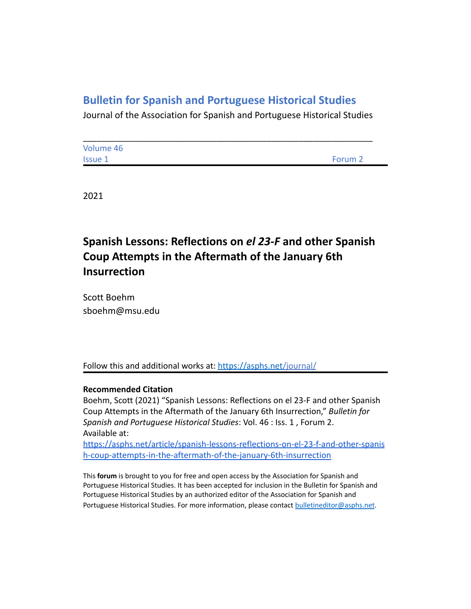## **Bulletin for Spanish and Portuguese Historical Studies**

Journal of the Association for Spanish and Portuguese Historical Studies

| Volume 46      |         |
|----------------|---------|
| <b>Issue 1</b> | Forum 2 |

2021

# **Spanish Lessons: Reflections on** *el 23-F* **and other Spanish Coup Attempts in the Aftermath of the January 6th Insurrection**

Scott Boehm sboehm@msu.edu

Follow this and additional works at: <https://asphs.net/journal/>

### **Recommended Citation**

Boehm, Scott (2021) "Spanish Lessons: Reflections on el 23-F and other Spanish Coup Attempts in the Aftermath of the January 6th Insurrection," *Bulletin for Spanish and Portuguese Historical Studies*: Vol. 46 : Iss. 1 , Forum 2. Available at:

[https://asphs.net/article/spanish-lessons-reflections-on-el-23-f-and-other-spanis](https://asphs.net/article/who-remembers-what-and-why-in-portugal) [h-coup-attempts-in-the-aftermath-of-the-january-6th-insurrection](https://asphs.net/article/who-remembers-what-and-why-in-portugal)

This **forum** is brought to you for free and open access by the Association for Spanish and Portuguese Historical Studies. It has been accepted for inclusion in the Bulletin for Spanish and Portuguese Historical Studies by an authorized editor of the Association for Spanish and Portuguese Historical Studies. For more information, please contact [bulletineditor@asphs.net](mailto:bulletineditor@asphs.net).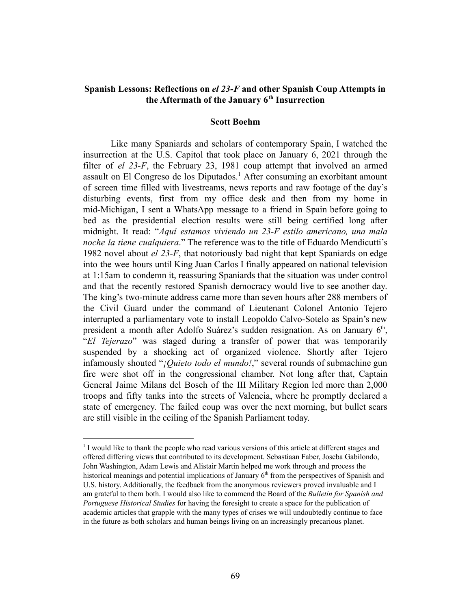## **Spanish Lessons: Reflections on** *el 23-F* **and other Spanish Coup Attempts in the Aftermath of the January 6th Insurrection**

#### **Scott Boehm**

Like many Spaniards and scholars of contemporary Spain, I watched the insurrection at the U.S. Capitol that took place on January 6, 2021 through the filter of *el 23-F*, the February 23, 1981 coup attempt that involved an armed assault on El Congreso de los Diputados.<sup>1</sup> After consuming an exorbitant amount of screen time filled with livestreams, news reports and raw footage of the day's disturbing events, first from my office desk and then from my home in mid-Michigan, I sent a WhatsApp message to a friend in Spain before going to bed as the presidential election results were still being certified long after midnight. It read: "*Aquí estamos viviendo un 23-F estilo americano, una mala noche la tiene cualquiera*." The reference was to the title of Eduardo Mendicutti's 1982 novel about *el 23-F*, that notoriously bad night that kept Spaniards on edge into the wee hours until King Juan Carlos I finally appeared on national television at 1:15am to condemn it, reassuring Spaniards that the situation was under control and that the recently restored Spanish democracy would live to see another day. The king's two-minute address came more than seven hours after 288 members of the Civil Guard under the command of Lieutenant Colonel Antonio Tejero interrupted a parliamentary vote to install Leopoldo Calvo-Sotelo as Spain's new president a month after Adolfo Suárez's sudden resignation. As on January  $6<sup>th</sup>$ , "*El Tejerazo*" was staged during a transfer of power that was temporarily suspended by a shocking act of organized violence. Shortly after Tejero infamously shouted "*¡Quieto todo el mundo!*," several rounds of submachine gun fire were shot off in the congressional chamber. Not long after that, Captain General Jaime Milans del Bosch of the III Military Region led more than 2,000 troops and fifty tanks into the streets of Valencia, where he promptly declared a state of emergency. The failed coup was over the next morning, but bullet scars are still visible in the ceiling of the Spanish Parliament today.

<sup>&</sup>lt;sup>1</sup> I would like to thank the people who read various versions of this article at different stages and offered differing views that contributed to its development. Sebastiaan Faber, Joseba Gabilondo, John Washington, Adam Lewis and Alistair Martin helped me work through and process the historical meanings and potential implications of January  $6<sup>th</sup>$  from the perspectives of Spanish and U.S. history. Additionally, the feedback from the anonymous reviewers proved invaluable and I am grateful to them both. I would also like to commend the Board of the *Bulletin for Spanish and Portuguese Historical Studies* for having the foresight to create a space for the publication of academic articles that grapple with the many types of crises we will undoubtedly continue to face in the future as both scholars and human beings living on an increasingly precarious planet.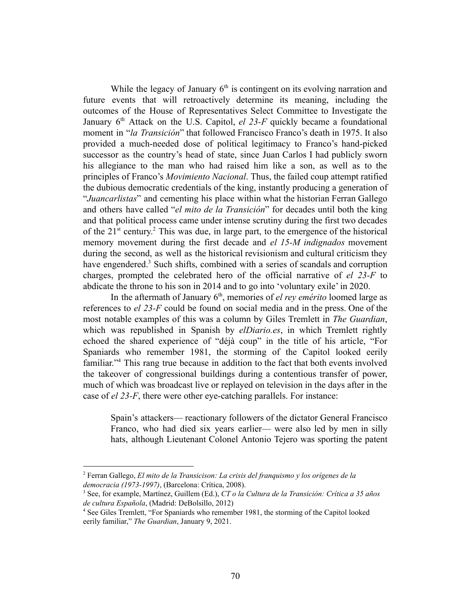While the legacy of January  $6<sup>th</sup>$  is contingent on its evolving narration and future events that will retroactively determine its meaning, including the outcomes of the House of Representatives Select Committee to Investigate the January 6<sup>th</sup> Attack on the U.S. Capitol, *el 23-F* quickly became a foundational moment in "*la Transición*" that followed Francisco Franco's death in 1975. It also provided a much-needed dose of political legitimacy to Franco's hand-picked successor as the country's head of state, since Juan Carlos I had publicly sworn his allegiance to the man who had raised him like a son, as well as to the principles of Franco's *Movimiento Nacional*. Thus, the failed coup attempt ratified the dubious democratic credentials of the king, instantly producing a generation of "*Juancarlistas*" and cementing his place within what the historian Ferran Gallego and others have called "*el mito de la Transición*" for decades until both the king and that political process came under intense scrutiny during the first two decades of the  $21<sup>st</sup>$  century.<sup>2</sup> This was due, in large part, to the emergence of the historical memory movement during the first decade and *el 15-M indignados* movement during the second, as well as the historical revisionism and cultural criticism they have engendered.<sup>3</sup> Such shifts, combined with a series of scandals and corruption charges, prompted the celebrated hero of the official narrative of *el 23-F* to abdicate the throne to his son in 2014 and to go into 'voluntary exile' in 2020.

In the aftermath of January 6<sup>th</sup>, memories of *el rey emérito* loomed large as references to *el 23-F* could be found on social media and in the press. One of the most notable examples of this was a column by Giles Tremlett in *The Guardian*, which was republished in Spanish by *elDiario.es*, in which Tremlett rightly echoed the shared experience of "déjà coup" in the title of his article, "For Spaniards who remember 1981, the storming of the Capitol looked eerily familiar."<sup>4</sup> This rang true because in addition to the fact that both events involved the takeover of congressional buildings during a contentious transfer of power, much of which was broadcast live or replayed on television in the days after in the case of *el 23-F*, there were other eye-catching parallels. For instance:

Spain's attackers— reactionary followers of the dictator General Francisco Franco, who had died six years earlier— were also led by men in silly hats, although Lieutenant Colonel Antonio Tejero was sporting the patent

<sup>2</sup> Ferran Gallego, *El mito de la Transicison: La crisis del franquismo y los orígenes de la democracia (1973-1997)*, (Barcelona: Crítica, 2008).

<sup>3</sup> See, for example, Martínez, Guillem (Ed.), *CT o la Cultura de la Transición: Crítica a 35 años de cultura Española*, (Madrid: DeBolsillo, 2012)

<sup>4</sup> See Giles Tremlett, "For Spaniards who remember 1981, the storming of the Capitol looked eerily familiar," *The Guardian*, January 9, 2021.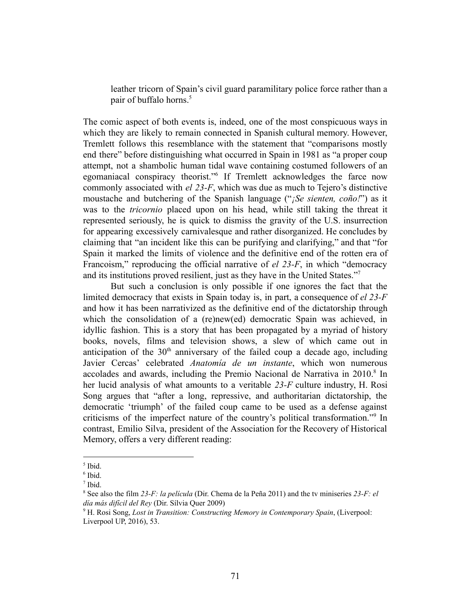leather tricorn of Spain's civil guard paramilitary police force rather than a pair of buffalo horns.<sup>5</sup>

The comic aspect of both events is, indeed, one of the most conspicuous ways in which they are likely to remain connected in Spanish cultural memory. However, Tremlett follows this resemblance with the statement that "comparisons mostly end there" before distinguishing what occurred in Spain in 1981 as "a proper coup attempt, not a shambolic human tidal wave containing costumed followers of an egomaniacal conspiracy theorist."<sup>6</sup> If Tremlett acknowledges the farce now commonly associated with *el 23-F*, which was due as much to Tejero's distinctive moustache and butchering of the Spanish language ("*¡Se sienten, coño!*") as it was to the *tricornio* placed upon on his head, while still taking the threat it represented seriously, he is quick to dismiss the gravity of the U.S. insurrection for appearing excessively carnivalesque and rather disorganized. He concludes by claiming that "an incident like this can be purifying and clarifying," and that "for Spain it marked the limits of violence and the definitive end of the rotten era of Francoism," reproducing the official narrative of *el 23-F*, in which "democracy and its institutions proved resilient, just as they have in the United States."<sup>7</sup>

But such a conclusion is only possible if one ignores the fact that the limited democracy that exists in Spain today is, in part, a consequence of *el 23-F* and how it has been narrativized as the definitive end of the dictatorship through which the consolidation of a (re)new(ed) democratic Spain was achieved, in idyllic fashion. This is a story that has been propagated by a myriad of history books, novels, films and television shows, a slew of which came out in anticipation of the  $30<sup>th</sup>$  anniversary of the failed coup a decade ago, including Javier Cercas' celebrated *Anatomía de un instante*, which won numerous accolades and awards, including the Premio Nacional de Narrativa in  $2010$ .<sup>8</sup> In her lucid analysis of what amounts to a veritable *23-F* culture industry, H. Rosi Song argues that "after a long, repressive, and authoritarian dictatorship, the democratic 'triumph' of the failed coup came to be used as a defense against criticisms of the imperfect nature of the country's political transformation."<sup>9</sup> In contrast, Emilio Silva, president of the Association for the Recovery of Historical Memory, offers a very different reading:

<sup>5</sup> Ibid.

<sup>6</sup> Ibid.

<sup>7</sup> Ibid.

<sup>8</sup> See also the film *23-F: la película* (Dir. Chema de la Peña 2011) and the tv miniseries *23-F: el día más difícil del Rey* (Dir. Sílvia Quer 2009)

<sup>9</sup> H. Rosi Song, *Lost in Transition: Constructing Memory in Contemporary Spain*, (Liverpool: Liverpool UP, 2016), 53.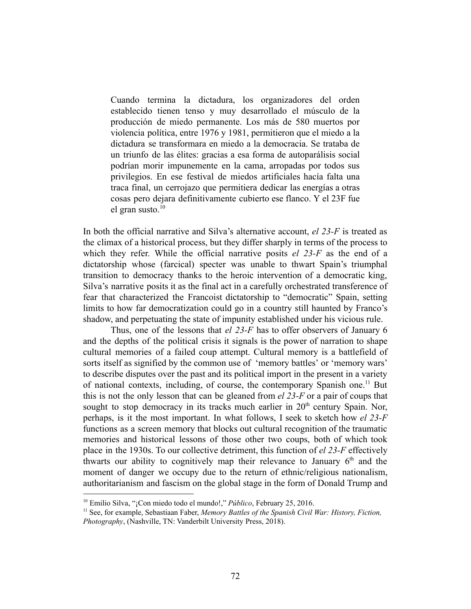Cuando termina la dictadura, los organizadores del orden establecido tienen tenso y muy desarrollado el músculo de la producción de miedo permanente. Los más de 580 muertos por violencia política, entre 1976 y 1981, permitieron que el miedo a la dictadura se transformara en miedo a la democracia. Se trataba de un triunfo de las élites: gracias a esa forma de autoparálisis social podrían morir impunemente en la cama, arropadas por todos sus privilegios. En ese festival de miedos artificiales hacía falta una traca final, un cerrojazo que permitiera dedicar las energías a otras cosas pero dejara definitivamente cubierto ese flanco. Y el 23F fue el gran susto. $10$ 

In both the official narrative and Silva's alternative account, *el 23-F* is treated as the climax of a historical process, but they differ sharply in terms of the process to which they refer. While the official narrative posits *el 23-F* as the end of a dictatorship whose (farcical) specter was unable to thwart Spain's triumphal transition to democracy thanks to the heroic intervention of a democratic king, Silva's narrative posits it as the final act in a carefully orchestrated transference of fear that characterized the Francoist dictatorship to "democratic" Spain, setting limits to how far democratization could go in a country still haunted by Franco's shadow, and perpetuating the state of impunity established under his vicious rule.

Thus, one of the lessons that *el 23-F* has to offer observers of January 6 and the depths of the political crisis it signals is the power of narration to shape cultural memories of a failed coup attempt. Cultural memory is a battlefield of sorts itself as signified by the common use of 'memory battles' or 'memory wars' to describe disputes over the past and its political import in the present in a variety of national contexts, including, of course, the contemporary Spanish one.<sup>11</sup> But this is not the only lesson that can be gleaned from *el 23-F* or a pair of coups that sought to stop democracy in its tracks much earlier in  $20<sup>th</sup>$  century Spain. Nor, perhaps, is it the most important. In what follows, I seek to sketch how *el 23-F* functions as a screen memory that blocks out cultural recognition of the traumatic memories and historical lessons of those other two coups, both of which took place in the 1930s. To our collective detriment, this function of *el 23-F* effectively thwarts our ability to cognitively map their relevance to January  $6<sup>th</sup>$  and the moment of danger we occupy due to the return of ethnic/religious nationalism, authoritarianism and fascism on the global stage in the form of Donald Trump and

<sup>10</sup> Emilio Silva, "¡Con miedo todo el mundo!," *Público*, February 25, 2016.

<sup>11</sup> See, for example, Sebastiaan Faber, *Memory Battles of the Spanish Civil War: History, Fiction, Photography*, (Nashville, TN: Vanderbilt University Press, 2018).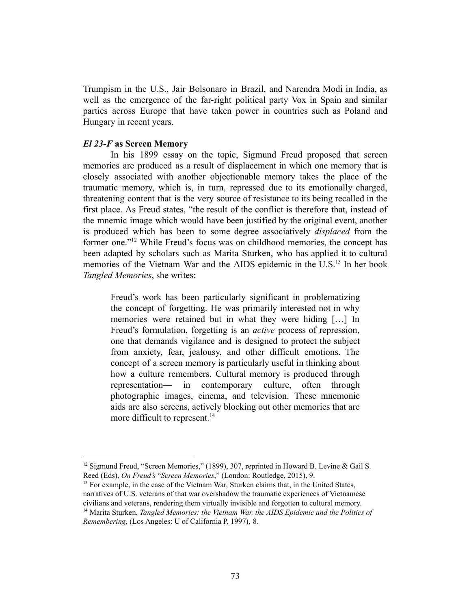Trumpism in the U.S., Jair Bolsonaro in Brazil, and Narendra Modi in India, as well as the emergence of the far-right political party Vox in Spain and similar parties across Europe that have taken power in countries such as Poland and Hungary in recent years.

#### *El 23-F* **as Screen Memory**

In his 1899 essay on the topic, Sigmund Freud proposed that screen memories are produced as a result of displacement in which one memory that is closely associated with another objectionable memory takes the place of the traumatic memory, which is, in turn, repressed due to its emotionally charged, threatening content that is the very source of resistance to its being recalled in the first place. As Freud states, "the result of the conflict is therefore that, instead of the mnemic image which would have been justified by the original event, another is produced which has been to some degree associatively *displaced* from the former one."<sup>12</sup> While Freud's focus was on childhood memories, the concept has been adapted by scholars such as Marita Sturken, who has applied it to cultural memories of the Vietnam War and the AIDS epidemic in the U.S.<sup>13</sup> In her book *Tangled Memories*, she writes:

Freud's work has been particularly significant in problematizing the concept of forgetting. He was primarily interested not in why memories were retained but in what they were hiding […] In Freud's formulation, forgetting is an *active* process of repression, one that demands vigilance and is designed to protect the subject from anxiety, fear, jealousy, and other difficult emotions. The concept of a screen memory is particularly useful in thinking about how a culture remembers. Cultural memory is produced through representation— in contemporary culture, often through photographic images, cinema, and television. These mnemonic aids are also screens, actively blocking out other memories that are more difficult to represent.<sup>14</sup>

<sup>&</sup>lt;sup>12</sup> Sigmund Freud, "Screen Memories," (1899), 307, reprinted in Howard B. Levine & Gail S. Reed (Eds), *On Freud's* "*Screen Memories*," (London: Routledge, 2015), 9.

<sup>14</sup> Marita Sturken, *Tangled Memories: the Vietnam War, the AIDS Epidemic and the Politics of*  $13$  For example, in the case of the Vietnam War, Sturken claims that, in the United States, narratives of U.S. veterans of that war overshadow the traumatic experiences of Vietnamese civilians and veterans, rendering them virtually invisible and forgotten to cultural memory.

*Remembering*, (Los Angeles: U of California P, 1997), 8.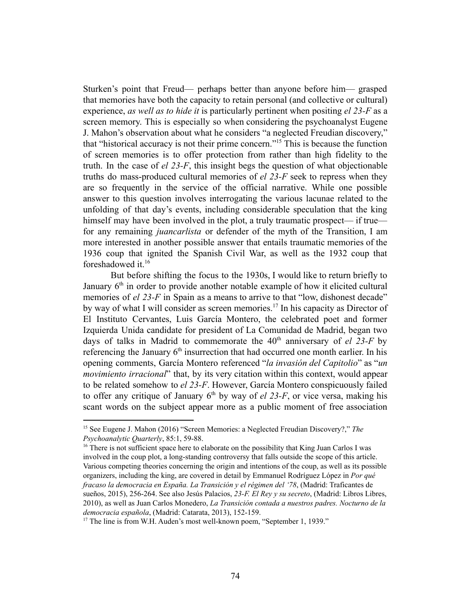Sturken's point that Freud— perhaps better than anyone before him— grasped that memories have both the capacity to retain personal (and collective or cultural) experience, *as well as to hide it* is particularly pertinent when positing *el 23-F* as a screen memory. This is especially so when considering the psychoanalyst Eugene J. Mahon's observation about what he considers "a neglected Freudian discovery," that "historical accuracy is not their prime concern."<sup>15</sup> This is because the function of screen memories is to offer protection from rather than high fidelity to the truth. In the case of *el 23-F*, this insight begs the question of what objectionable truths do mass-produced cultural memories of *el 23-F* seek to repress when they are so frequently in the service of the official narrative. While one possible answer to this question involves interrogating the various lacunae related to the unfolding of that day's events, including considerable speculation that the king himself may have been involved in the plot, a truly traumatic prospect— if true for any remaining *juancarlista* or defender of the myth of the Transition, I am more interested in another possible answer that entails traumatic memories of the 1936 coup that ignited the Spanish Civil War, as well as the 1932 coup that foreshadowed it.<sup>16</sup>

But before shifting the focus to the 1930s, I would like to return briefly to January  $6<sup>th</sup>$  in order to provide another notable example of how it elicited cultural memories of *el 23-F* in Spain as a means to arrive to that "low, dishonest decade" by way of what I will consider as screen memories.<sup>17</sup> In his capacity as Director of El Instituto Cervantes, Luis García Montero, the celebrated poet and former Izquierda Unida candidate for president of La Comunidad de Madrid, began two days of talks in Madrid to commemorate the  $40<sup>th</sup>$  anniversary of *el* 23-F by referencing the January  $6<sup>th</sup>$  insurrection that had occurred one month earlier. In his opening comments, García Montero referenced "*la invasión del Capitolio*" as "*un movimiento irracional*" that, by its very citation within this context, would appear to be related somehow to *el 23-F*. However, García Montero conspicuously failed to offer any critique of January  $6<sup>th</sup>$  by way of *el 23-F*, or vice versa, making his scant words on the subject appear more as a public moment of free association

<sup>15</sup> See Eugene J. Mahon (2016) "Screen Memories: a Neglected Freudian Discovery?," *The Psychoanalytic Quarterly*, 85:1, 59-88.

<sup>&</sup>lt;sup>16</sup> There is not sufficient space here to elaborate on the possibility that King Juan Carlos I was involved in the coup plot, a long-standing controversy that falls outside the scope of this article. Various competing theories concerning the origin and intentions of the coup, as well as its possible organizers, including the king, are covered in detail by Emmanuel Rodríguez López in *Por qué fracaso la democracia en España. La Transición y el régimen del '78*, (Madrid: Traficantes de sueños, 2015), 256-264. See also Jesús Palacios, *23-F. El Rey y su secreto*, (Madrid: Libros Libres, 2010), as well as Juan Carlos Monedero, *La Transición contada a nuestros padres. Nocturno de la democracia española*, (Madrid: Catarata, 2013), 152-159.

 $17$  The line is from W.H. Auden's most well-known poem. "September 1, 1939."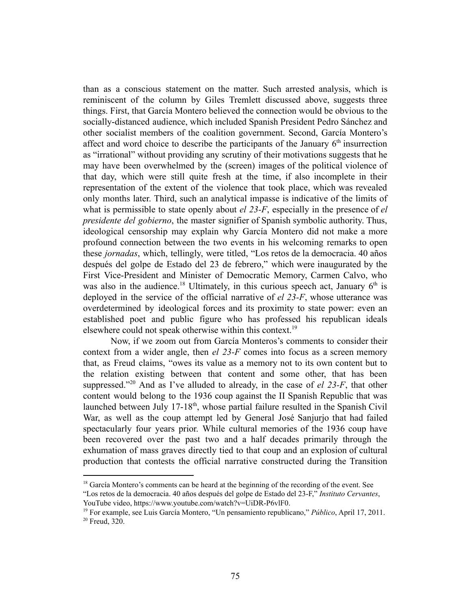than as a conscious statement on the matter. Such arrested analysis, which is reminiscent of the column by Giles Tremlett discussed above, suggests three things. First, that García Montero believed the connection would be obvious to the socially-distanced audience, which included Spanish President Pedro Sánchez and other socialist members of the coalition government. Second, García Montero's affect and word choice to describe the participants of the January  $6<sup>th</sup>$  insurrection as "irrational" without providing any scrutiny of their motivations suggests that he may have been overwhelmed by the (screen) images of the political violence of that day, which were still quite fresh at the time, if also incomplete in their representation of the extent of the violence that took place, which was revealed only months later. Third, such an analytical impasse is indicative of the limits of what is permissible to state openly about *el 23-F*, especially in the presence of *el presidente del gobierno*, the master signifier of Spanish symbolic authority. Thus, ideological censorship may explain why García Montero did not make a more profound connection between the two events in his welcoming remarks to open these *jornadas*, which, tellingly, were titled, "Los retos de la democracia. 40 años después del golpe de Estado del 23 de febrero," which were inaugurated by the First Vice-President and Minister of Democratic Memory, Carmen Calvo, who was also in the audience.<sup>18</sup> Ultimately, in this curious speech act, January  $6<sup>th</sup>$  is deployed in the service of the official narrative of *el 23-F*, whose utterance was overdetermined by ideological forces and its proximity to state power: even an established poet and public figure who has professed his republican ideals elsewhere could not speak otherwise within this context.<sup>19</sup>

Now, if we zoom out from García Monteros's comments to consider their context from a wider angle, then *el 23-F* comes into focus as a screen memory that, as Freud claims, "owes its value as a memory not to its own content but to the relation existing between that content and some other, that has been suppressed."<sup>20</sup> And as I've alluded to already, in the case of  $el$  23-F, that other content would belong to the 1936 coup against the II Spanish Republic that was launched between July  $17-18<sup>th</sup>$ , whose partial failure resulted in the Spanish Civil War, as well as the coup attempt led by General José Sanjurjo that had failed spectacularly four years prior. While cultural memories of the 1936 coup have been recovered over the past two and a half decades primarily through the exhumation of mass graves directly tied to that coup and an explosion of cultural production that contests the official narrative constructed during the Transition

 $18$  García Montero's comments can be heard at the beginning of the recording of the event. See

<sup>&</sup>quot;Los retos de la democracia. 40 años después del golpe de Estado del 23-F," *Instituto Cervantes*, YouTube video, https://www.youtube.com/watch?v=UiDR-P6vlF0.

<sup>19</sup> For example, see Luis García Montero, "Un pensamiento republicano," *Público*, April 17, 2011.

<sup>&</sup>lt;sup>20</sup> Freud, 320.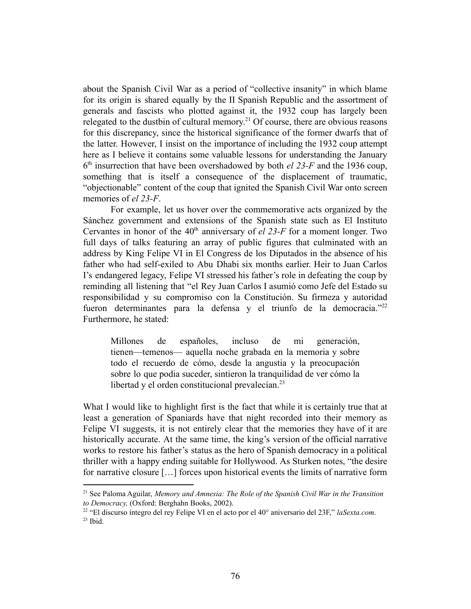about the Spanish Civil War as a period of "collective insanity" in which blame for its origin is shared equally by the II Spanish Republic and the assortment of generals and fascists who plotted against it, the 1932 coup has largely been relegated to the dustbin of cultural memory.<sup>21</sup> Of course, there are obvious reasons for this discrepancy, since the historical significance of the former dwarfs that of the latter. However, I insist on the importance of including the 1932 coup attempt here as I believe it contains some valuable lessons for understanding the January 6 th insurrection that have been overshadowed by both *el 23-F* and the 1936 coup, something that is itself a consequence of the displacement of traumatic, "objectionable" content of the coup that ignited the Spanish Civil War onto screen memories of *el 23-F*.

For example, let us hover over the commemorative acts organized by the Sánchez government and extensions of the Spanish state such as El Instituto Cervantes in honor of the  $40<sup>th</sup>$  anniversary of *el 23-F* for a moment longer. Two full days of talks featuring an array of public figures that culminated with an address by King Felipe VI in El Congress de los Diputados in the absence of his father who had self-exiled to Abu Dhabi six months earlier. Heir to Juan Carlos I's endangered legacy, Felipe VI stressed his father's role in defeating the coup by reminding all listening that "el Rey Juan Carlos I asumió como Jefe del Estado su responsibilidad y su compromiso con la Constitución. Su firmeza y autoridad fueron determinantes para la defensa y el triunfo de la democracia."<sup>22</sup> Furthermore, he stated:

Millones de españoles, incluso de mi generación, tienen—temenos— aquella noche grabada en la memoria y sobre todo el recuerdo de cómo, desde la angustia y la preocupación sobre lo que podia suceder, sintieron la tranquilidad de ver cómo la libertad y el orden constitucional prevalecían. $^{23}$ 

What I would like to highlight first is the fact that while it is certainly true that at least a generation of Spaniards have that night recorded into their memory as Felipe VI suggests, it is not entirely clear that the memories they have of it are historically accurate. At the same time, the king's version of the official narrative works to restore his father's status as the hero of Spanish democracy in a political thriller with a happy ending suitable for Hollywood. As Sturken notes, "the desire for narrative closure […] forces upon historical events the limits of narrative form

<sup>21</sup> See Paloma Aguilar, *Memory and Amnesia: The Role of the Spanish Civil War in the Transition to Democracy,* (Oxford: Berghahn Books, 2002).

<sup>22</sup> "El discurso íntegro del rey Felipe VI en el acto por el 40° aniversario del 23F," *laSexta.com*.

 $23$  Ibid.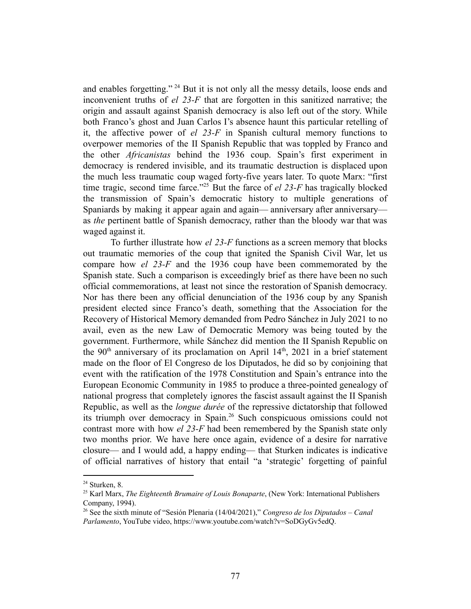and enables forgetting."  $24$  But it is not only all the messy details, loose ends and inconvenient truths of *el 23-F* that are forgotten in this sanitized narrative; the origin and assault against Spanish democracy is also left out of the story. While both Franco's ghost and Juan Carlos I's absence haunt this particular retelling of it, the affective power of *el 23-F* in Spanish cultural memory functions to overpower memories of the II Spanish Republic that was toppled by Franco and the other *Africanistas* behind the 1936 coup. Spain's first experiment in democracy is rendered invisible, and its traumatic destruction is displaced upon the much less traumatic coup waged forty-five years later. To quote Marx: "first time tragic, second time farce."<sup>25</sup> But the farce of  $el$  23-F has tragically blocked the transmission of Spain's democratic history to multiple generations of Spaniards by making it appear again and again— anniversary after anniversary as *the* pertinent battle of Spanish democracy, rather than the bloody war that was waged against it.

To further illustrate how *el 23-F* functions as a screen memory that blocks out traumatic memories of the coup that ignited the Spanish Civil War, let us compare how *el 23-F* and the 1936 coup have been commemorated by the Spanish state. Such a comparison is exceedingly brief as there have been no such official commemorations, at least not since the restoration of Spanish democracy. Nor has there been any official denunciation of the 1936 coup by any Spanish president elected since Franco's death, something that the Association for the Recovery of Historical Memory demanded from Pedro Sánchez in July 2021 to no avail, even as the new Law of Democratic Memory was being touted by the government. Furthermore, while Sánchez did mention the II Spanish Republic on the 90<sup>th</sup> anniversary of its proclamation on April  $14<sup>th</sup>$ , 2021 in a brief statement made on the floor of El Congreso de los Diputados, he did so by conjoining that event with the ratification of the 1978 Constitution and Spain's entrance into the European Economic Community in 1985 to produce a three-pointed genealogy of national progress that completely ignores the fascist assault against the II Spanish Republic, as well as the *longue durée* of the repressive dictatorship that followed its triumph over democracy in Spain.<sup>26</sup> Such conspicuous omissions could not contrast more with how *el 23-F* had been remembered by the Spanish state only two months prior. We have here once again, evidence of a desire for narrative closure— and I would add, a happy ending— that Sturken indicates is indicative of official narratives of history that entail "a 'strategic' forgetting of painful

 $24$  Sturken, 8.

<sup>25</sup> Karl Marx, *The Eighteenth Brumaire of Louis Bonaparte*, (New York: International Publishers Company, 1994).

<sup>26</sup> See the sixth minute of "Sesión Plenaria (14/04/2021)," *Congreso de los Diputados – Canal Parlamento*, YouTube video, https://www.youtube.com/watch?v=SoDGyGv5edQ.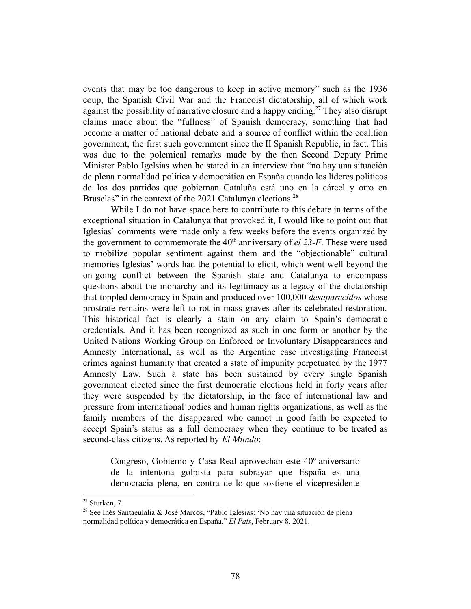events that may be too dangerous to keep in active memory" such as the 1936 coup, the Spanish Civil War and the Francoist dictatorship, all of which work against the possibility of narrative closure and a happy ending.<sup>27</sup> They also disrupt claims made about the "fullness" of Spanish democracy, something that had become a matter of national debate and a source of conflict within the coalition government, the first such government since the II Spanish Republic, in fact. This was due to the polemical remarks made by the then Second Deputy Prime Minister Pablo Igelsias when he stated in an interview that "no hay una situación de plena normalidad política y democrática en España cuando los líderes politicos de los dos partidos que gobiernan Cataluña está uno en la cárcel y otro en Bruselas" in the context of the 2021 Catalunya elections.<sup>28</sup>

While I do not have space here to contribute to this debate in terms of the exceptional situation in Catalunya that provoked it, I would like to point out that Iglesias' comments were made only a few weeks before the events organized by the government to commemorate the  $40<sup>th</sup>$  anniversary of *el* 23-F. These were used to mobilize popular sentiment against them and the "objectionable" cultural memories Iglesias' words had the potential to elicit, which went well beyond the on-going conflict between the Spanish state and Catalunya to encompass questions about the monarchy and its legitimacy as a legacy of the dictatorship that toppled democracy in Spain and produced over 100,000 *desaparecidos* whose prostrate remains were left to rot in mass graves after its celebrated restoration. This historical fact is clearly a stain on any claim to Spain's democratic credentials. And it has been recognized as such in one form or another by the United Nations Working Group on Enforced or Involuntary Disappearances and Amnesty International, as well as the Argentine case investigating Francoist crimes against humanity that created a state of impunity perpetuated by the 1977 Amnesty Law. Such a state has been sustained by every single Spanish government elected since the first democratic elections held in forty years after they were suspended by the dictatorship, in the face of international law and pressure from international bodies and human rights organizations, as well as the family members of the disappeared who cannot in good faith be expected to accept Spain's status as a full democracy when they continue to be treated as second-class citizens. As reported by *El Mundo*:

Congreso, Gobierno y Casa Real aprovechan este 40º aniversario de la intentona golpista para subrayar que España es una democracia plena, en contra de lo que sostiene el vicepresidente

 $27$  Sturken, 7.

<sup>&</sup>lt;sup>28</sup> See Inés Santaeulalia & José Marcos, "Pablo Iglesias: 'No hay una situación de plena normalidad política y democrática en España," *El País*, February 8, 2021.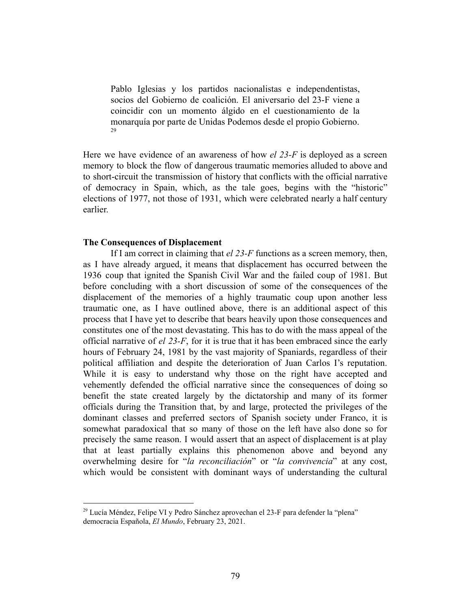Pablo Iglesias y los partidos nacionalistas e independentistas, socios del Gobierno de coalición. El aniversario del 23-F viene a coincidir con un momento álgido en el cuestionamiento de la monarquía por parte de Unidas Podemos desde el propio Gobierno. 29

Here we have evidence of an awareness of how *el 23-F* is deployed as a screen memory to block the flow of dangerous traumatic memories alluded to above and to short-circuit the transmission of history that conflicts with the official narrative of democracy in Spain, which, as the tale goes, begins with the "historic" elections of 1977, not those of 1931, which were celebrated nearly a half century earlier.

#### **The Consequences of Displacement**

If I am correct in claiming that *el 23-F* functions as a screen memory, then, as I have already argued, it means that displacement has occurred between the 1936 coup that ignited the Spanish Civil War and the failed coup of 1981. But before concluding with a short discussion of some of the consequences of the displacement of the memories of a highly traumatic coup upon another less traumatic one, as I have outlined above, there is an additional aspect of this process that I have yet to describe that bears heavily upon those consequences and constitutes one of the most devastating. This has to do with the mass appeal of the official narrative of *el 23-F*, for it is true that it has been embraced since the early hours of February 24, 1981 by the vast majority of Spaniards, regardless of their political affiliation and despite the deterioration of Juan Carlos I's reputation. While it is easy to understand why those on the right have accepted and vehemently defended the official narrative since the consequences of doing so benefit the state created largely by the dictatorship and many of its former officials during the Transition that, by and large, protected the privileges of the dominant classes and preferred sectors of Spanish society under Franco, it is somewhat paradoxical that so many of those on the left have also done so for precisely the same reason. I would assert that an aspect of displacement is at play that at least partially explains this phenomenon above and beyond any overwhelming desire for "*la reconciliación*" or "*la convivencia*" at any cost, which would be consistent with dominant ways of understanding the cultural

 $^{29}$  Lucía Méndez, Felipe VI y Pedro Sánchez aprovechan el 23-F para defender la "plena" democracia Española, *El Mundo*, February 23, 2021.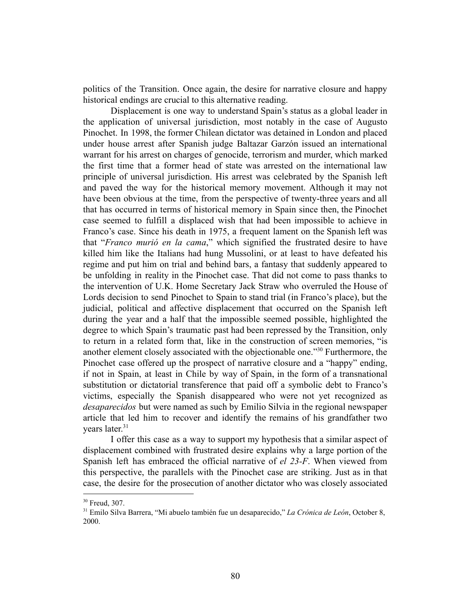politics of the Transition. Once again, the desire for narrative closure and happy historical endings are crucial to this alternative reading.

Displacement is one way to understand Spain's status as a global leader in the application of universal jurisdiction, most notably in the case of Augusto Pinochet. In 1998, the former Chilean dictator was detained in London and placed under house arrest after Spanish judge Baltazar Garzón issued an international warrant for his arrest on charges of genocide, terrorism and murder, which marked the first time that a former head of state was arrested on the international law principle of universal jurisdiction. His arrest was celebrated by the Spanish left and paved the way for the historical memory movement. Although it may not have been obvious at the time, from the perspective of twenty-three years and all that has occurred in terms of historical memory in Spain since then, the Pinochet case seemed to fulfill a displaced wish that had been impossible to achieve in Franco's case. Since his death in 1975, a frequent lament on the Spanish left was that "*Franco murió en la cama*," which signified the frustrated desire to have killed him like the Italians had hung Mussolini, or at least to have defeated his regime and put him on trial and behind bars, a fantasy that suddenly appeared to be unfolding in reality in the Pinochet case. That did not come to pass thanks to the intervention of U.K. Home Secretary Jack Straw who overruled the House of Lords decision to send Pinochet to Spain to stand trial (in Franco's place), but the judicial, political and affective displacement that occurred on the Spanish left during the year and a half that the impossible seemed possible, highlighted the degree to which Spain's traumatic past had been repressed by the Transition, only to return in a related form that, like in the construction of screen memories, "is another element closely associated with the objectionable one."<sup>30</sup> Furthermore, the Pinochet case offered up the prospect of narrative closure and a "happy" ending, if not in Spain, at least in Chile by way of Spain, in the form of a transnational substitution or dictatorial transference that paid off a symbolic debt to Franco's victims, especially the Spanish disappeared who were not yet recognized as *desaparecidos* but were named as such by Emilio Silvia in the regional newspaper article that led him to recover and identify the remains of his grandfather two years later.<sup>31</sup>

I offer this case as a way to support my hypothesis that a similar aspect of displacement combined with frustrated desire explains why a large portion of the Spanish left has embraced the official narrative of *el 23-F*. When viewed from this perspective, the parallels with the Pinochet case are striking. Just as in that case, the desire for the prosecution of another dictator who was closely associated

<sup>&</sup>lt;sup>30</sup> Freud, 307.

<sup>31</sup> Emilo Silva Barrera, "Mi abuelo también fue un desaparecido," *La Crónica de León*, October 8, 2000.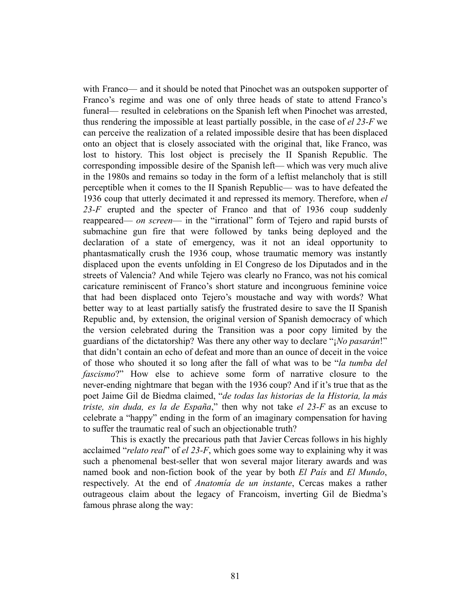with Franco— and it should be noted that Pinochet was an outspoken supporter of Franco's regime and was one of only three heads of state to attend Franco's funeral— resulted in celebrations on the Spanish left when Pinochet was arrested, thus rendering the impossible at least partially possible, in the case of *el 23-F* we can perceive the realization of a related impossible desire that has been displaced onto an object that is closely associated with the original that, like Franco, was lost to history. This lost object is precisely the II Spanish Republic. The corresponding impossible desire of the Spanish left— which was very much alive in the 1980s and remains so today in the form of a leftist melancholy that is still perceptible when it comes to the II Spanish Republic— was to have defeated the 1936 coup that utterly decimated it and repressed its memory. Therefore, when *el 23-F* erupted and the specter of Franco and that of 1936 coup suddenly reappeared— *on screen*— in the "irrational" form of Tejero and rapid bursts of submachine gun fire that were followed by tanks being deployed and the declaration of a state of emergency, was it not an ideal opportunity to phantasmatically crush the 1936 coup, whose traumatic memory was instantly displaced upon the events unfolding in El Congreso de los Diputados and in the streets of Valencia? And while Tejero was clearly no Franco, was not his comical caricature reminiscent of Franco's short stature and incongruous feminine voice that had been displaced onto Tejero's moustache and way with words? What better way to at least partially satisfy the frustrated desire to save the II Spanish Republic and, by extension, the original version of Spanish democracy of which the version celebrated during the Transition was a poor copy limited by the guardians of the dictatorship? Was there any other way to declare "¡*No pasarán*!" that didn't contain an echo of defeat and more than an ounce of deceit in the voice of those who shouted it so long after the fall of what was to be "*la tumba del fascismo*?" How else to achieve some form of narrative closure to the never-ending nightmare that began with the 1936 coup? And if it's true that as the poet Jaime Gil de Biedma claimed, "*de todas las historias de la Historia, la más triste, sin duda, es la de España*," then why not take *el 23-F* as an excuse to celebrate a "happy" ending in the form of an imaginary compensation for having to suffer the traumatic real of such an objectionable truth?

This is exactly the precarious path that Javier Cercas follows in his highly acclaimed "*relato real*" of *el 23-F*, which goes some way to explaining why it was such a phenomenal best-seller that won several major literary awards and was named book and non-fiction book of the year by both *El País* and *El Mundo*, respectively. At the end of *Anatomía de un instante*, Cercas makes a rather outrageous claim about the legacy of Francoism, inverting Gil de Biedma's famous phrase along the way: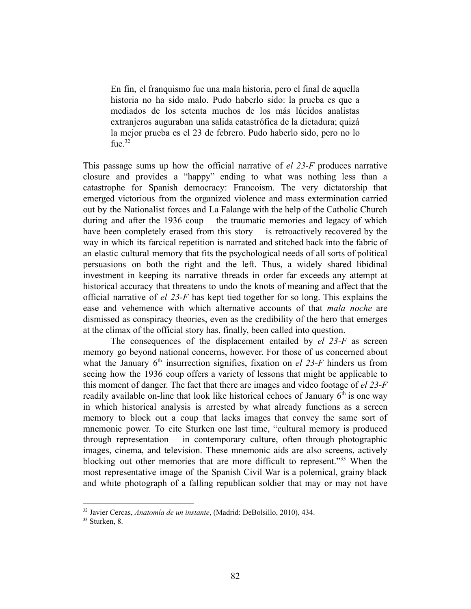En fin, el franquismo fue una mala historia, pero el final de aquella historia no ha sido malo. Pudo haberlo sido: la prueba es que a mediados de los setenta muchos de los más lúcidos analistas extranjeros auguraban una salida catastrófica de la dictadura; quizá la mejor prueba es el 23 de febrero. Pudo haberlo sido, pero no lo fue. $32$ 

This passage sums up how the official narrative of *el 23-F* produces narrative closure and provides a "happy" ending to what was nothing less than a catastrophe for Spanish democracy: Francoism. The very dictatorship that emerged victorious from the organized violence and mass extermination carried out by the Nationalist forces and La Falange with the help of the Catholic Church during and after the 1936 coup— the traumatic memories and legacy of which have been completely erased from this story— is retroactively recovered by the way in which its farcical repetition is narrated and stitched back into the fabric of an elastic cultural memory that fits the psychological needs of all sorts of political persuasions on both the right and the left. Thus, a widely shared libidinal investment in keeping its narrative threads in order far exceeds any attempt at historical accuracy that threatens to undo the knots of meaning and affect that the official narrative of *el 23-F* has kept tied together for so long. This explains the ease and vehemence with which alternative accounts of that *mala noche* are dismissed as conspiracy theories, even as the credibility of the hero that emerges at the climax of the official story has, finally, been called into question.

The consequences of the displacement entailed by *el 23-F* as screen memory go beyond national concerns, however. For those of us concerned about what the January  $6<sup>th</sup>$  insurrection signifies, fixation on *el 23-F* hinders us from seeing how the 1936 coup offers a variety of lessons that might be applicable to this moment of danger. The fact that there are images and video footage of *el 23-F* readily available on-line that look like historical echoes of January  $6<sup>th</sup>$  is one way in which historical analysis is arrested by what already functions as a screen memory to block out a coup that lacks images that convey the same sort of mnemonic power. To cite Sturken one last time, "cultural memory is produced through representation— in contemporary culture, often through photographic images, cinema, and television. These mnemonic aids are also screens, actively blocking out other memories that are more difficult to represent.<sup>333</sup> When the most representative image of the Spanish Civil War is a polemical, grainy black and white photograph of a falling republican soldier that may or may not have

<sup>32</sup> Javier Cercas, *Anatomía de un instante*, (Madrid: DeBolsillo, 2010), 434.

<sup>&</sup>lt;sup>33</sup> Sturken, 8.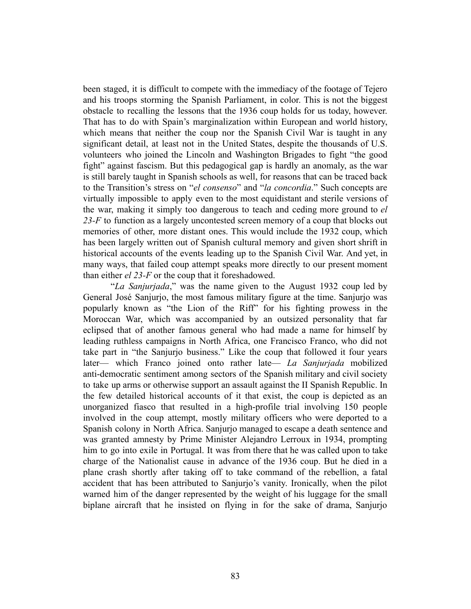been staged, it is difficult to compete with the immediacy of the footage of Tejero and his troops storming the Spanish Parliament, in color. This is not the biggest obstacle to recalling the lessons that the 1936 coup holds for us today, however. That has to do with Spain's marginalization within European and world history, which means that neither the coup nor the Spanish Civil War is taught in any significant detail, at least not in the United States, despite the thousands of U.S. volunteers who joined the Lincoln and Washington Brigades to fight "the good fight" against fascism. But this pedagogical gap is hardly an anomaly, as the war is still barely taught in Spanish schools as well, for reasons that can be traced back to the Transition's stress on "*el consenso*" and "*la concordia*." Such concepts are virtually impossible to apply even to the most equidistant and sterile versions of the war, making it simply too dangerous to teach and ceding more ground to *el 23-F* to function as a largely uncontested screen memory of a coup that blocks out memories of other, more distant ones. This would include the 1932 coup, which has been largely written out of Spanish cultural memory and given short shrift in historical accounts of the events leading up to the Spanish Civil War. And yet, in many ways, that failed coup attempt speaks more directly to our present moment than either *el 23-F* or the coup that it foreshadowed.

"*La Sanjurjada*," was the name given to the August 1932 coup led by General José Sanjurjo, the most famous military figure at the time. Sanjurjo was popularly known as "the Lion of the Riff" for his fighting prowess in the Moroccan War, which was accompanied by an outsized personality that far eclipsed that of another famous general who had made a name for himself by leading ruthless campaigns in North Africa, one Francisco Franco, who did not take part in "the Sanjurjo business." Like the coup that followed it four years later— which Franco joined onto rather late— *La Sanjurjada* mobilized anti-democratic sentiment among sectors of the Spanish military and civil society to take up arms or otherwise support an assault against the II Spanish Republic. In the few detailed historical accounts of it that exist, the coup is depicted as an unorganized fiasco that resulted in a high-profile trial involving 150 people involved in the coup attempt, mostly military officers who were deported to a Spanish colony in North Africa. Sanjurjo managed to escape a death sentence and was granted amnesty by Prime Minister Alejandro Lerroux in 1934, prompting him to go into exile in Portugal. It was from there that he was called upon to take charge of the Nationalist cause in advance of the 1936 coup. But he died in a plane crash shortly after taking off to take command of the rebellion, a fatal accident that has been attributed to Sanjurjo's vanity. Ironically, when the pilot warned him of the danger represented by the weight of his luggage for the small biplane aircraft that he insisted on flying in for the sake of drama, Sanjurjo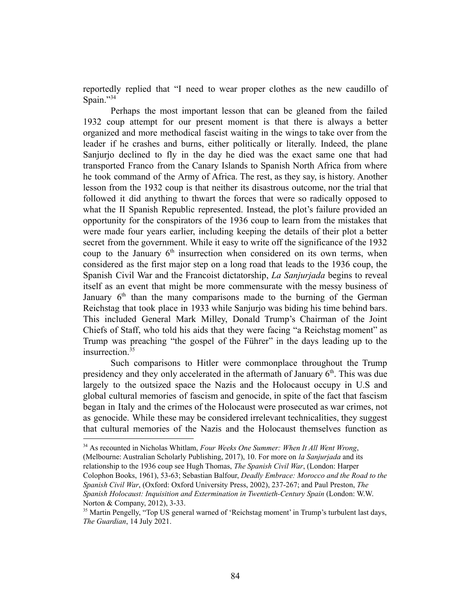reportedly replied that "I need to wear proper clothes as the new caudillo of Spain."34

Perhaps the most important lesson that can be gleaned from the failed 1932 coup attempt for our present moment is that there is always a better organized and more methodical fascist waiting in the wings to take over from the leader if he crashes and burns, either politically or literally. Indeed, the plane Sanjurjo declined to fly in the day he died was the exact same one that had transported Franco from the Canary Islands to Spanish North Africa from where he took command of the Army of Africa. The rest, as they say, is history. Another lesson from the 1932 coup is that neither its disastrous outcome, nor the trial that followed it did anything to thwart the forces that were so radically opposed to what the II Spanish Republic represented. Instead, the plot's failure provided an opportunity for the conspirators of the 1936 coup to learn from the mistakes that were made four years earlier, including keeping the details of their plot a better secret from the government. While it easy to write off the significance of the 1932 coup to the January  $6<sup>th</sup>$  insurrection when considered on its own terms, when considered as the first major step on a long road that leads to the 1936 coup, the Spanish Civil War and the Francoist dictatorship, *La Sanjurjada* begins to reveal itself as an event that might be more commensurate with the messy business of January  $6<sup>th</sup>$  than the many comparisons made to the burning of the German Reichstag that took place in 1933 while Sanjurjo was biding his time behind bars. This included General Mark Milley, Donald Trump's Chairman of the Joint Chiefs of Staff, who told his aids that they were facing "a Reichstag moment" as Trump was preaching "the gospel of the Führer" in the days leading up to the insurrection.<sup>35</sup>

Such comparisons to Hitler were commonplace throughout the Trump presidency and they only accelerated in the aftermath of January  $6<sup>th</sup>$ . This was due largely to the outsized space the Nazis and the Holocaust occupy in U.S and global cultural memories of fascism and genocide, in spite of the fact that fascism began in Italy and the crimes of the Holocaust were prosecuted as war crimes, not as genocide. While these may be considered irrelevant technicalities, they suggest that cultural memories of the Nazis and the Holocaust themselves function as

<sup>34</sup> As recounted in Nicholas Whitlam, *Four Weeks One Summer: When It All Went Wrong*, (Melbourne: Australian Scholarly Publishing, 2017), 10. For more on *la Sanjurjada* and its relationship to the 1936 coup see Hugh Thomas, *The Spanish Civil War*, (London: Harper Colophon Books, 1961), 53-63; Sebastian Balfour, *Deadly Embrace: Morocco and the Road to the Spanish Civil War*, (Oxford: Oxford University Press, 2002), 237-267; and Paul Preston, *The Spanish Holocaust: Inquisition and Extermination in Twentieth-Century Spain* (London: W.W. Norton & Company, 2012), 3-33.

<sup>&</sup>lt;sup>35</sup> Martin Pengelly, "Top US general warned of 'Reichstag moment' in Trump's turbulent last days, *The Guardian*, 14 July 2021.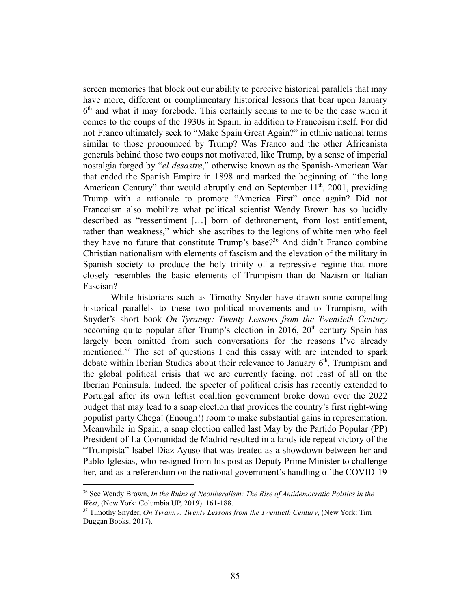screen memories that block out our ability to perceive historical parallels that may have more, different or complimentary historical lessons that bear upon January 6<sup>th</sup> and what it may forebode. This certainly seems to me to be the case when it comes to the coups of the 1930s in Spain, in addition to Francoism itself. For did not Franco ultimately seek to "Make Spain Great Again?" in ethnic national terms similar to those pronounced by Trump? Was Franco and the other Africanista generals behind those two coups not motivated, like Trump, by a sense of imperial nostalgia forged by "*el desastre*," otherwise known as the Spanish-American War that ended the Spanish Empire in 1898 and marked the beginning of "the long American Century" that would abruptly end on September  $11<sup>th</sup>$ , 2001, providing Trump with a rationale to promote "America First" once again? Did not Francoism also mobilize what political scientist Wendy Brown has so lucidly described as "ressentiment […] born of dethronement, from lost entitlement, rather than weakness," which she ascribes to the legions of white men who feel they have no future that constitute Trump's base?<sup>36</sup> And didn't Franco combine Christian nationalism with elements of fascism and the elevation of the military in Spanish society to produce the holy trinity of a repressive regime that more closely resembles the basic elements of Trumpism than do Nazism or Italian Fascism?

While historians such as Timothy Snyder have drawn some compelling historical parallels to these two political movements and to Trumpism, with Snyder's short book *On Tyranny: Twenty Lessons from the Twentieth Century* becoming quite popular after Trump's election in  $2016$ ,  $20<sup>th</sup>$  century Spain has largely been omitted from such conversations for the reasons I've already mentioned.<sup>37</sup> The set of questions I end this essay with are intended to spark debate within Iberian Studies about their relevance to January  $6<sup>th</sup>$ , Trumpism and the global political crisis that we are currently facing, not least of all on the Iberian Peninsula. Indeed, the specter of political crisis has recently extended to Portugal after its own leftist coalition government broke down over the 2022 budget that may lead to a snap election that provides the country's first right-wing populist party Chega! (Enough!) room to make substantial gains in representation. Meanwhile in Spain, a snap election called last May by the Partido Popular (PP) President of La Comunidad de Madrid resulted in a landslide repeat victory of the "Trumpista" Isabel Díaz Ayuso that was treated as a showdown between her and Pablo Iglesias, who resigned from his post as Deputy Prime Minister to challenge her, and as a referendum on the national government's handling of the COVID-19

<sup>36</sup> See Wendy Brown, *In the Ruins of Neoliberalism: The Rise of Antidemocratic Politics in the West*, (New York: Columbia UP, 2019). 161-188.

<sup>37</sup> Timothy Snyder, *On Tyranny: Twenty Lessons from the Twentieth Century*, (New York: Tim Duggan Books, 2017).